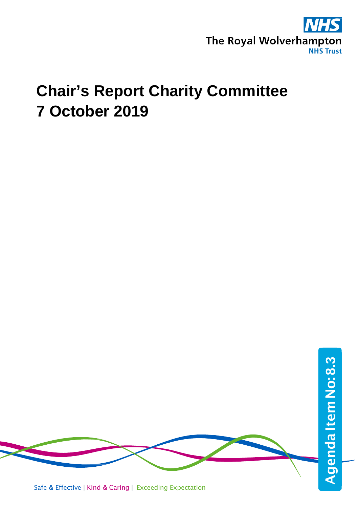

## **Chair's Report Charity Committee 7 October 2019**



Safe & Effective | Kind & Caring | Exceeding Expectation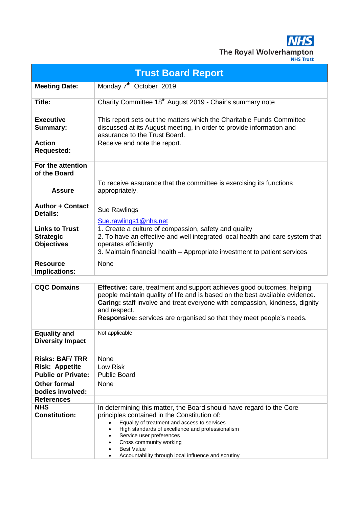**NHS** The Royal Wolverhampton

| <b>Trust Board Report</b>                                      |                                                                                                                                                                                                                                                                                                                                                                                       |  |  |  |  |  |
|----------------------------------------------------------------|---------------------------------------------------------------------------------------------------------------------------------------------------------------------------------------------------------------------------------------------------------------------------------------------------------------------------------------------------------------------------------------|--|--|--|--|--|
| <b>Meeting Date:</b>                                           | Monday 7 <sup>th</sup> October 2019                                                                                                                                                                                                                                                                                                                                                   |  |  |  |  |  |
| Title:                                                         | Charity Committee 18 <sup>th</sup> August 2019 - Chair's summary note                                                                                                                                                                                                                                                                                                                 |  |  |  |  |  |
| <b>Executive</b><br><b>Summary:</b>                            | This report sets out the matters which the Charitable Funds Committee<br>discussed at its August meeting, in order to provide information and<br>assurance to the Trust Board.                                                                                                                                                                                                        |  |  |  |  |  |
| <b>Action</b><br><b>Requested:</b>                             | Receive and note the report.                                                                                                                                                                                                                                                                                                                                                          |  |  |  |  |  |
| For the attention<br>of the Board                              |                                                                                                                                                                                                                                                                                                                                                                                       |  |  |  |  |  |
| <b>Assure</b>                                                  | To receive assurance that the committee is exercising its functions<br>appropriately.                                                                                                                                                                                                                                                                                                 |  |  |  |  |  |
| <b>Author + Contact</b><br>Details:                            | Sue Rawlings<br>Sue.rawlings1@nhs.net                                                                                                                                                                                                                                                                                                                                                 |  |  |  |  |  |
| <b>Links to Trust</b><br><b>Strategic</b><br><b>Objectives</b> | 1. Create a culture of compassion, safety and quality<br>2. To have an effective and well integrated local health and care system that<br>operates efficiently<br>3. Maintain financial health – Appropriate investment to patient services                                                                                                                                           |  |  |  |  |  |
| <b>Resource</b><br>Implications:                               | None                                                                                                                                                                                                                                                                                                                                                                                  |  |  |  |  |  |
| <b>CQC Domains</b>                                             | <b>Effective:</b> care, treatment and support achieves good outcomes, helping<br>people maintain quality of life and is based on the best available evidence.<br>Caring: staff involve and treat everyone with compassion, kindness, dignity<br>and respect.<br><b>Responsive:</b> services are organised so that they meet people's needs.                                           |  |  |  |  |  |
| <b>Equality and</b><br><b>Diversity Impact</b>                 | Not applicable                                                                                                                                                                                                                                                                                                                                                                        |  |  |  |  |  |
| <b>Risks: BAF/TRR</b>                                          | None                                                                                                                                                                                                                                                                                                                                                                                  |  |  |  |  |  |
| <b>Risk: Appetite</b>                                          | Low Risk                                                                                                                                                                                                                                                                                                                                                                              |  |  |  |  |  |
| <b>Public or Private:</b>                                      | <b>Public Board</b>                                                                                                                                                                                                                                                                                                                                                                   |  |  |  |  |  |
| <b>Other formal</b><br>bodies involved:                        | None                                                                                                                                                                                                                                                                                                                                                                                  |  |  |  |  |  |
| <b>References</b>                                              |                                                                                                                                                                                                                                                                                                                                                                                       |  |  |  |  |  |
| <b>NHS</b><br><b>Constitution:</b>                             | In determining this matter, the Board should have regard to the Core<br>principles contained in the Constitution of:<br>Equality of treatment and access to services<br>$\bullet$<br>High standards of excellence and professionalism<br>$\bullet$<br>Service user preferences<br>Cross community working<br><b>Best Value</b><br>Accountability through local influence and scrutiny |  |  |  |  |  |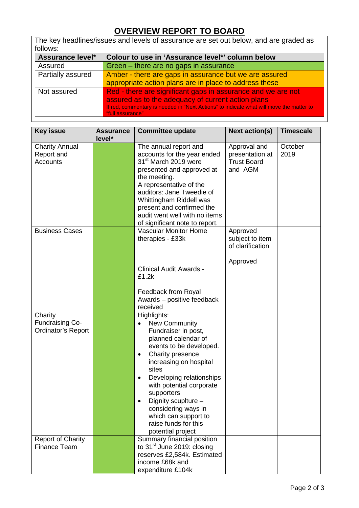## **OVERVIEW REPORT TO BOARD**

The key headlines/issues and levels of assurance are set out below, and are graded as follows:<br>**Assurance level\***<br>Assured **Assurance level\* Colour to use in 'Assurance level\*' column below** Assured Green – there are no gaps in assurance

| noouicu           | Oreen – there are no gaps in assurance                                                                      |  |  |  |
|-------------------|-------------------------------------------------------------------------------------------------------------|--|--|--|
| Partially assured | Amber - there are gaps in assurance but we are assured                                                      |  |  |  |
|                   | appropriate action plans are in place to address these                                                      |  |  |  |
| Not assured       | Red - there are significant gaps in assurance and we are not                                                |  |  |  |
|                   | assured as to the adequacy of current action plans                                                          |  |  |  |
|                   | If red, commentary is needed in "Next Actions" to indicate what will move the matter to<br>"full assurance" |  |  |  |

| <b>Key issue</b>                                        | <b>Assurance</b><br>level* | <b>Committee update</b>                                                                                                                                                                                                                                                                                                                                                                             | <b>Next action(s)</b>                                            | <b>Timescale</b> |
|---------------------------------------------------------|----------------------------|-----------------------------------------------------------------------------------------------------------------------------------------------------------------------------------------------------------------------------------------------------------------------------------------------------------------------------------------------------------------------------------------------------|------------------------------------------------------------------|------------------|
| <b>Charity Annual</b><br>Report and<br>Accounts         |                            | The annual report and<br>accounts for the year ended<br>31 <sup>st</sup> March 2019 were<br>presented and approved at<br>the meeting.<br>A representative of the<br>auditors: Jane Tweedie of<br>Whittingham Riddell was<br>present and confirmed the<br>audit went well with no items<br>of significant note to report.                                                                            | Approval and<br>presentation at<br><b>Trust Board</b><br>and AGM | October<br>2019  |
| <b>Business Cases</b>                                   |                            | <b>Vascular Monitor Home</b><br>therapies - £33k<br><b>Clinical Audit Awards -</b><br>£1.2k<br>Feedback from Royal<br>Awards - positive feedback<br>received                                                                                                                                                                                                                                        | Approved<br>subject to item<br>of clarification<br>Approved      |                  |
| Charity<br><b>Fundraising Co-</b><br>Ordinator's Report |                            | Highlights:<br><b>New Community</b><br>$\bullet$<br>Fundraiser in post,<br>planned calendar of<br>events to be developed.<br>Charity presence<br>$\bullet$<br>increasing on hospital<br>sites<br>Developing relationships<br>$\bullet$<br>with potential corporate<br>supporters<br>Dignity scuplture -<br>considering ways in<br>which can support to<br>raise funds for this<br>potential project |                                                                  |                  |
| <b>Report of Charity</b><br><b>Finance Team</b>         |                            | Summary financial position<br>to 31 <sup>st</sup> June 2019: closing<br>reserves £2,584k. Estimated<br>income £68k and<br>expenditure £104k                                                                                                                                                                                                                                                         |                                                                  |                  |